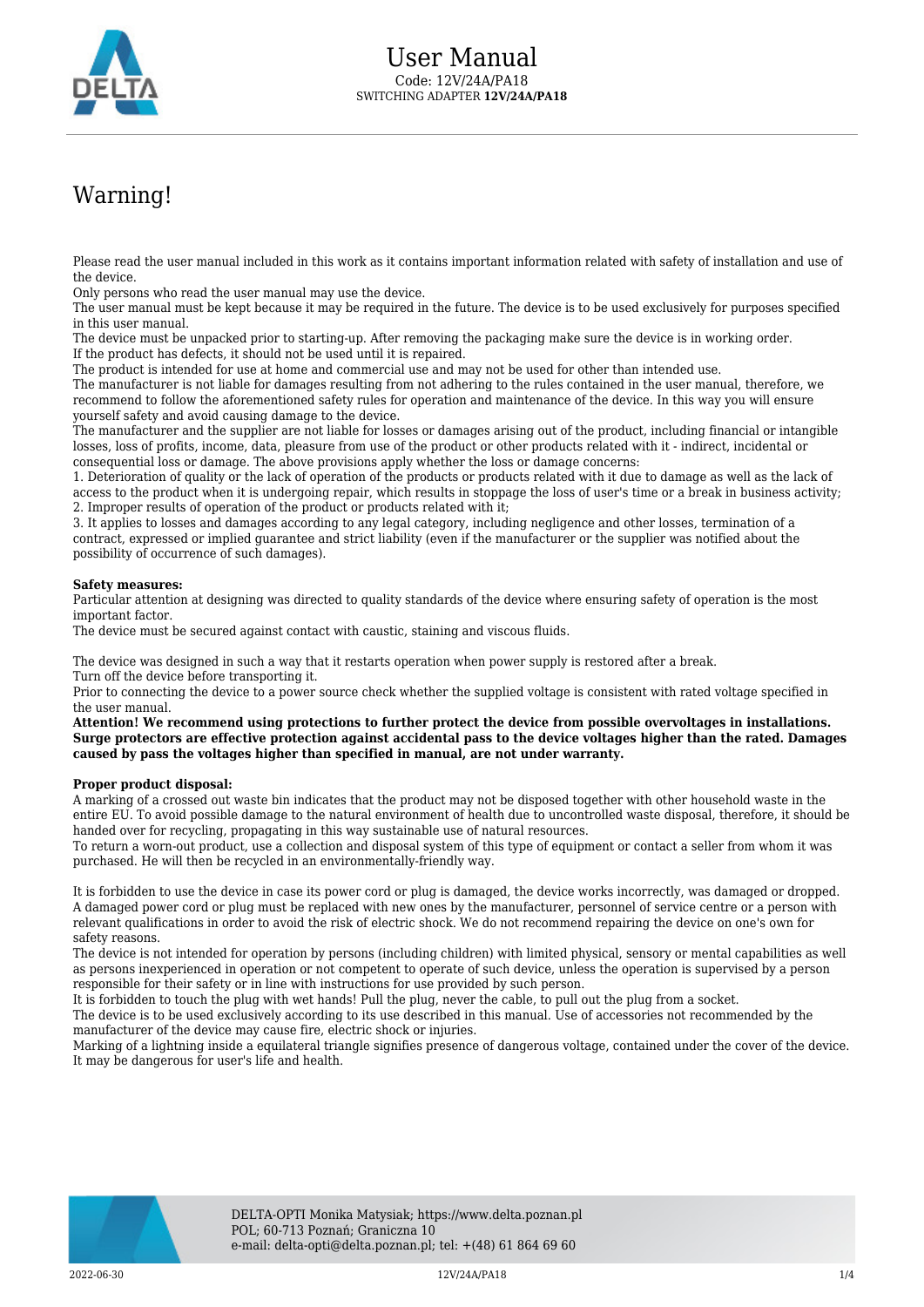

# Warning!

Please read the user manual included in this work as it contains important information related with safety of installation and use of the device.

Only persons who read the user manual may use the device.

The user manual must be kept because it may be required in the future. The device is to be used exclusively for purposes specified in this user manual.

The device must be unpacked prior to starting-up. After removing the packaging make sure the device is in working order. If the product has defects, it should not be used until it is repaired.

The product is intended for use at home and commercial use and may not be used for other than intended use.

The manufacturer is not liable for damages resulting from not adhering to the rules contained in the user manual, therefore, we recommend to follow the aforementioned safety rules for operation and maintenance of the device. In this way you will ensure yourself safety and avoid causing damage to the device.

The manufacturer and the supplier are not liable for losses or damages arising out of the product, including financial or intangible losses, loss of profits, income, data, pleasure from use of the product or other products related with it - indirect, incidental or consequential loss or damage. The above provisions apply whether the loss or damage concerns:

1. Deterioration of quality or the lack of operation of the products or products related with it due to damage as well as the lack of access to the product when it is undergoing repair, which results in stoppage the loss of user's time or a break in business activity; 2. Improper results of operation of the product or products related with it;

3. It applies to losses and damages according to any legal category, including negligence and other losses, termination of a contract, expressed or implied guarantee and strict liability (even if the manufacturer or the supplier was notified about the possibility of occurrence of such damages).

#### **Safety measures:**

Particular attention at designing was directed to quality standards of the device where ensuring safety of operation is the most important factor.

The device must be secured against contact with caustic, staining and viscous fluids.

The device was designed in such a way that it restarts operation when power supply is restored after a break. Turn off the device before transporting it.

Prior to connecting the device to a power source check whether the supplied voltage is consistent with rated voltage specified in the user manual.

**Attention! We recommend using protections to further protect the device from possible overvoltages in installations. Surge protectors are effective protection against accidental pass to the device voltages higher than the rated. Damages caused by pass the voltages higher than specified in manual, are not under warranty.**

#### **Proper product disposal:**

A marking of a crossed out waste bin indicates that the product may not be disposed together with other household waste in the entire EU. To avoid possible damage to the natural environment of health due to uncontrolled waste disposal, therefore, it should be handed over for recycling, propagating in this way sustainable use of natural resources.

To return a worn-out product, use a collection and disposal system of this type of equipment or contact a seller from whom it was purchased. He will then be recycled in an environmentally-friendly way.

It is forbidden to use the device in case its power cord or plug is damaged, the device works incorrectly, was damaged or dropped. A damaged power cord or plug must be replaced with new ones by the manufacturer, personnel of service centre or a person with relevant qualifications in order to avoid the risk of electric shock. We do not recommend repairing the device on one's own for safety reasons.

The device is not intended for operation by persons (including children) with limited physical, sensory or mental capabilities as well as persons inexperienced in operation or not competent to operate of such device, unless the operation is supervised by a person responsible for their safety or in line with instructions for use provided by such person.

It is forbidden to touch the plug with wet hands! Pull the plug, never the cable, to pull out the plug from a socket.

The device is to be used exclusively according to its use described in this manual. Use of accessories not recommended by the manufacturer of the device may cause fire, electric shock or injuries.

Marking of a lightning inside a equilateral triangle signifies presence of dangerous voltage, contained under the cover of the device. It may be dangerous for user's life and health.

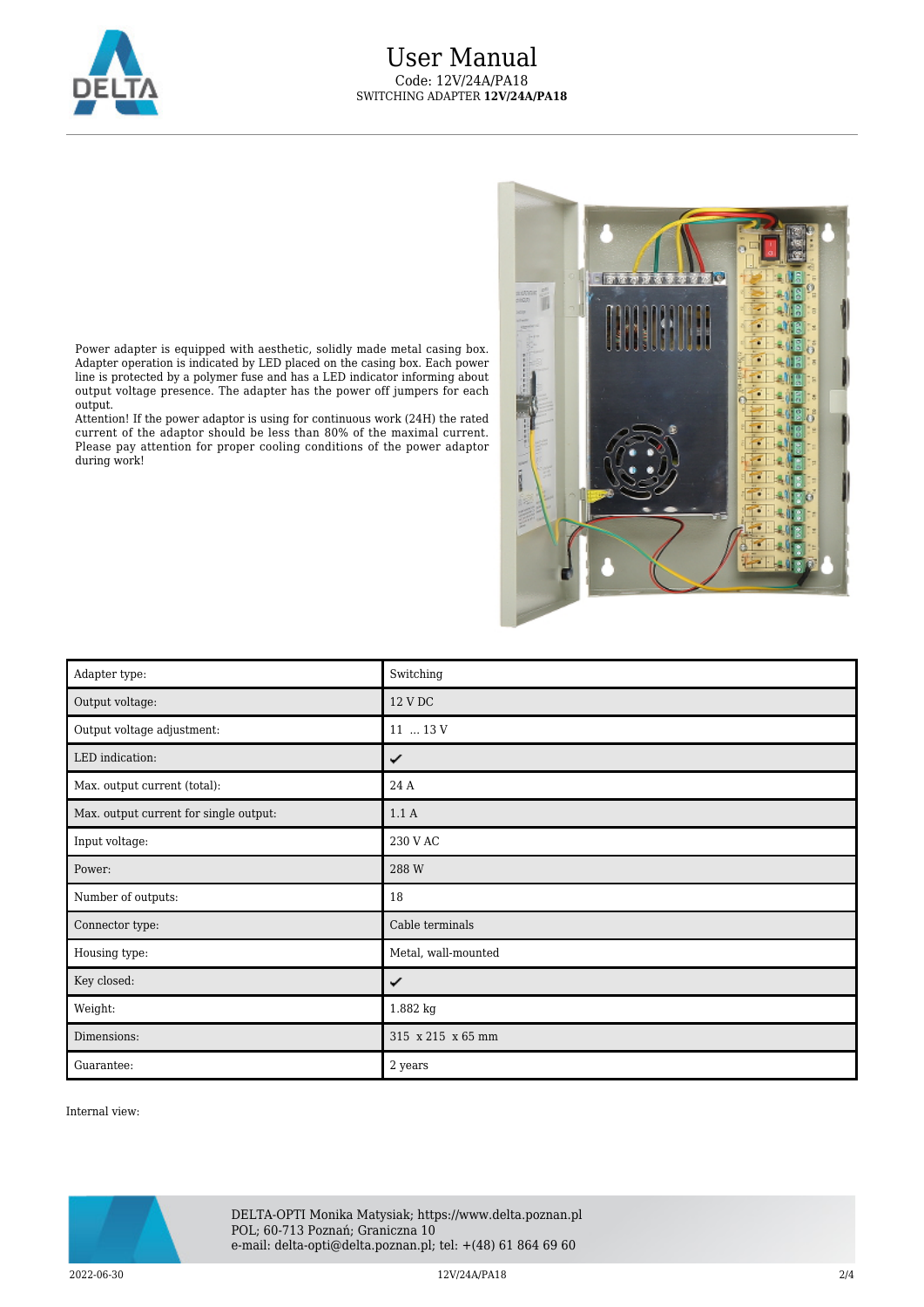

## User Manual Code: 12V/24A/PA18 SWITCHING ADAPTER **12V/24A/PA18**

**Butt**  $\overline{R}$ í **General** ٩ ë. I 59. N  $\sim$  1 <u>kuit</u>

Power adapter is equipped with aesthetic, solidly made metal casing box. Adapter operation is indicated by LED placed on the casing box. Each power line is protected by a polymer fuse and has a LED indicator informing about output voltage presence. The adapter has the power off jumpers for each output.

Attention! If the power adaptor is using for continuous work (24H) the rated current of the adaptor should be less than 80% of the maximal current. Please pay attention for proper cooling conditions of the power adaptor during work!

| Adapter type:                          | Switching           |
|----------------------------------------|---------------------|
| Output voltage:                        | 12 V DC             |
| Output voltage adjustment:             | 11  13 V            |
| LED indication:                        | ✓                   |
| Max. output current (total):           | 24 A                |
| Max. output current for single output: | 1.1A                |
| Input voltage:                         | 230 V AC            |
| Power:                                 | 288 W               |
| Number of outputs:                     | 18                  |
| Connector type:                        | Cable terminals     |
| Housing type:                          | Metal, wall-mounted |
| Key closed:                            | ✓                   |
| Weight:                                | 1.882 kg            |
| Dimensions:                            | 315 x 215 x 65 mm   |
| Guarantee:                             | 2 years             |

Internal view:



 $2022$ -06-30  $2/4$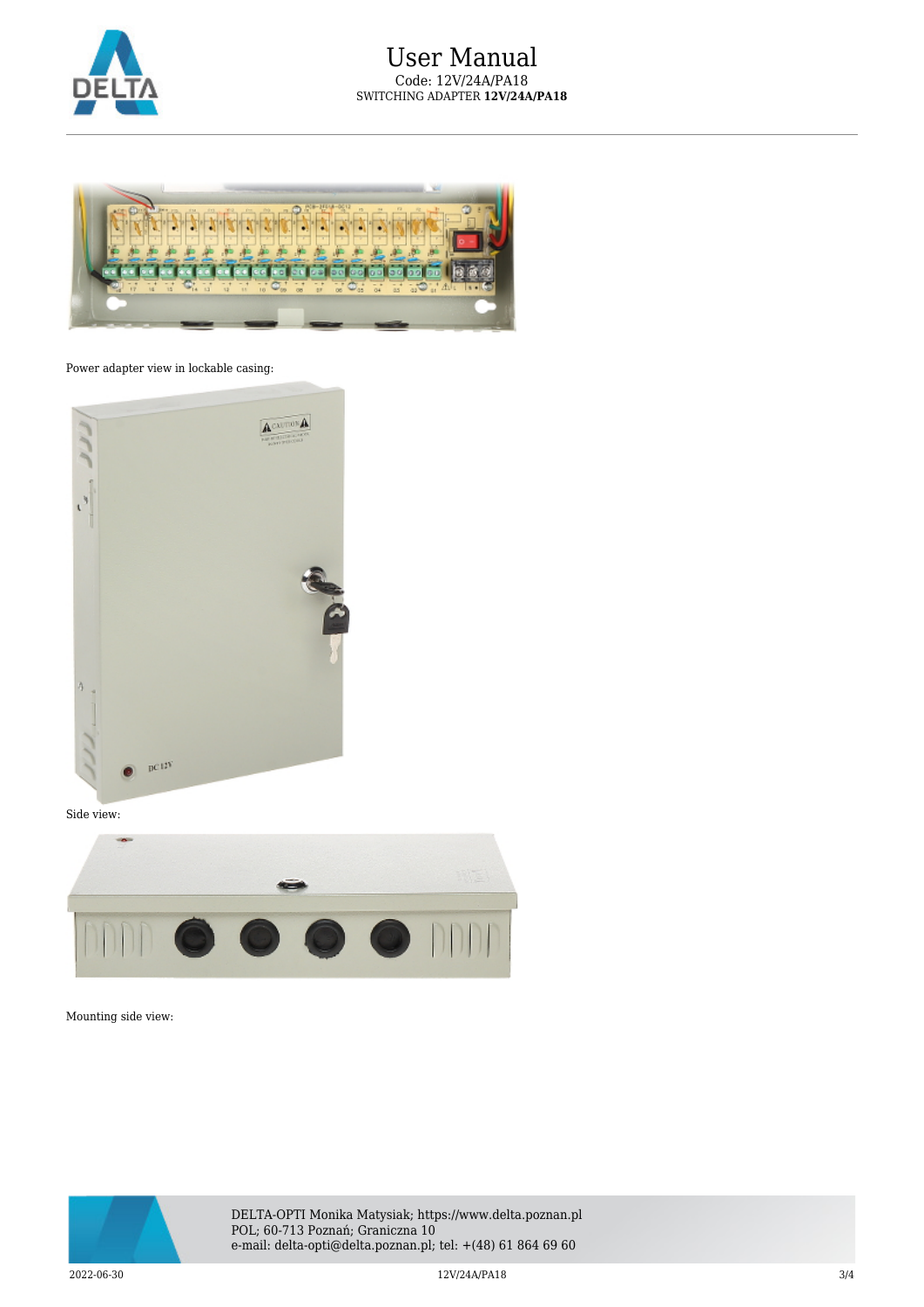



### Power adapter view in lockable casing:



Side view:



Mounting side view:



DELTA-OPTI Monika Matysiak; https://www.delta.poznan.pl POL; 60-713 Poznań; Graniczna 10 e-mail: delta-opti@delta.poznan.pl; tel: +(48) 61 864 69 60

 $2022$ -06-30  $3/4$